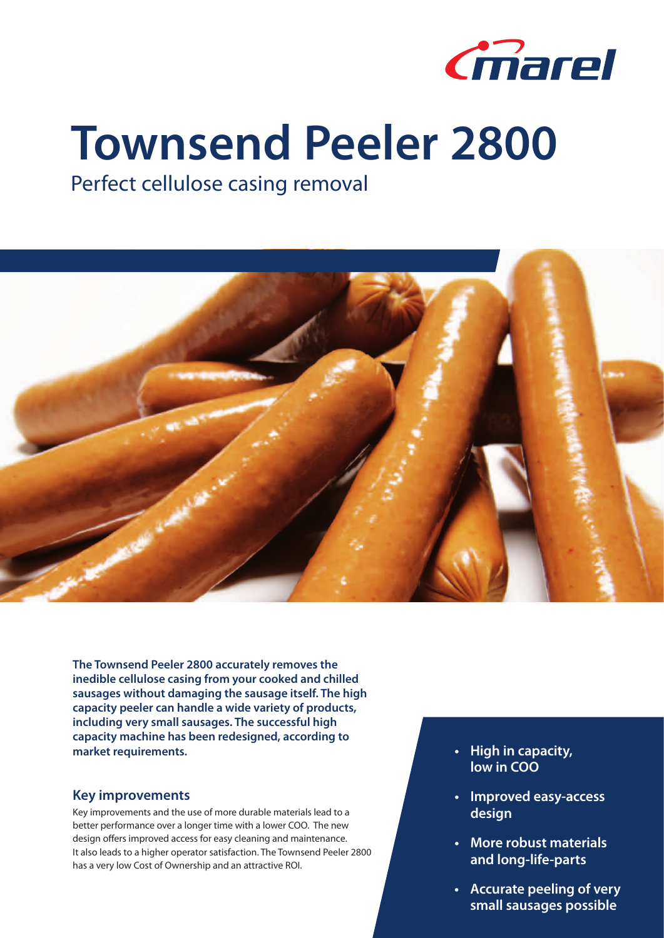

## **Townsend Peeler 2800**

Perfect cellulose casing removal



**The Townsend Peeler 2800 accurately removes the inedible cellulose casing from your cooked and chilled sausages without damaging the sausage itself. The high capacity peeler can handle a wide variety of products, including very small sausages. The successful high capacity machine has been redesigned, according to market requirements.**

## **Key improvements**

Key improvements and the use of more durable materials lead to a better performance over a longer time with a lower COO. The new design offers improved access for easy cleaning and maintenance. It also leads to a higher operator satisfaction. The Townsend Peeler 2800 has a very low Cost of Ownership and an attractive ROI.

- **• High in capacity, low in COO**
- **• Improved easy-access design**
- **• More robust materials and long-life-parts**
- **• Accurate peeling of very small sausages possible**